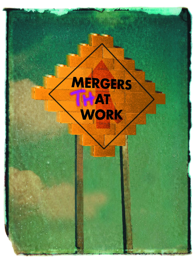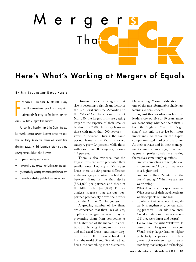

# **Here's What's Working at Mergers of Equals**

BY JEFF COBURN AND BRUCE HEINTZ

F or many U.S. law firms, the late 20th century brought unprecedented growth and prosperity. Unfortunately, for many law firm leaders, this has also been a time of unprecedented anxiety.

For law firms throughout the United States, the gap has never been wider between short-term success and longterm uncertainty. As law firm leaders look beyond their short-term success to their longer-term future, many are growing concerned about what they see:

- a gradually eroding market share;
- the widening gap between top-tier firms and the rest;
- greater difficulty recruiting and retaining top lawyers; and
- a harder time attracting good clients and premium work.

Growing evidence suggests that size is becoming a significant factor in the U.S. legal industry. According to the *National Law Journal's* most recent NLJ 250, the largest firms are getting larger at the expense of their smaller brethren. In 2000, U.S. mega firms those with more than 500 lawyers grew 14 percent. During the same period, firms in the  $250 +$  attorney category grew 9.4 percent, while those with fewer than 200 lawyers grew only 2.5 percent.

There is also evidence that the largest firms are more profitable than smaller ones. Looking at 50 largest firms, there is a 50 percent difference in the average per-partner profitability between firms in the first decile (\$731,000 per partner) and those in the fifth decile (\$490,000). Further analysis suggests that average perpartner profitability drops the further down the AmLaw 200 list you go.

A growing number of law firms are concerned that their lack of size, depth and geographic reach may be preventing them from competing at the higher end of the market. In addition, the challenge facing most smaller and mid-sized firms – and many larger firms as well – is how to break out from the world of undifferentiated law firms into something more distinctive.

Overcoming "commodification" is one of the most formidable challenges facing law firm leaders.

Against this backdrop, as law firm leaders look out five or 10 years, many are wondering whether their firm is both the "right size" and the "right shape" not only to survive but, more importantly, to thrive in the hypercompetitive legal market of the future. At their retreats and in their management committee meetings, these management professionals are asking themselves some tough questions:

- Are we competing at the right level in our market? How can we move to a higher tier?
- Are we getting "invited to the party" enough? When we are, are we winning?
- What do our clients expect from us? What aspects of their legal needs are we not capable of handling?
- To what extent do we need to significantly strengthen or grow our existing practices — or add new ones? Could we take some practices national if they were larger and deeper?
- Do we have the right "platform" to ensure our longer-term success? Would being larger lead to higher profitability or provide us with a greater ability to invest in such areas as recruiting, marketing, and technology?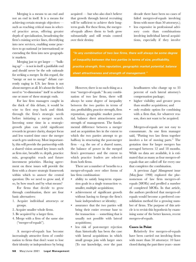Merging is a means to an end and not an end in itself. It is a means for achieving certain strategic objectives such as reaching critical mass in selected practice areas, offering greater depth of specialization, broadening the firm's existing service lines, diversifying into new services, enabling some practices to go national (or international) or extending the firm into new geographic markets.

Merging just to get larger — "bulking up" — is not in itself a justifiable end and should never be the sole rationale for seeking a merger. In this regard, the "merge or not to merge" debate currently raging in U.S. law firms is not about mergers at all. It's about the firm's need to "re-dimension" itself to achieve one or more of these strategic ends.

For law firm managers caught in the thick of this debate, it would be wise to first step back and think through the firm's strategic needs before initiating a merger search. Investing some time in a strategicgrowth plan can yield significant rewards in greater clarity, sharper focus and less wasted time once the merger search gets underway. Most importantly, this will provide the partnership with a shared vision around key issues such as firm size, breadth vs. depth, practice mix, geographic reach and future investment priorities. Having agreement on these issues will provide the firm with a clearer strategic framework within which to answer the central question: Do we need to grow and, if so, by how much and by what means?

For firms that decide to grow through combination, there are four basic alternatives:

- 1. Acquire individual attorneys or groups.
- 2. Acquire smaller whole firms.
- 3. Be acquired by a larger firm.
- 4. Merge with a firm of the same size ("merger-of-equals").

A merger-of-equals has become increasingly attractive form of combination to firms that don't want to lose their identity or independence by being acquired — but who also don't believe that growth through lateral recruiting will be sufficient to achieve their longterm goals. For these firms, the mergerof-equals allows them to both grow substantially and still retain control over their destiny.

decade there have been no cases of failed mergers-of-equals involving firms with more than 50 attorneys.);

less expensive in professional advisory costs than combinations involving individual lateral acquisitions, especially if they involve

*"In any combination of two law firms, there will always be some degree of inequality between the two parties in terms of size, profitability, practice strength, firm reputation, geographic market potential, balance sheet attractiveness and strength of management."*

However, there is no such thing as a true "merger-of-equals." In any combination of two law firms, there will always be some degree of inequality between the two parties in terms of size, profitability, practice strength, firm reputation, geographic market potential, balance sheet attractiveness and strength of management. The fundamental difference between a merger and an acquisition lies in the extent to which the two parties attempt to go halfway in structuring the post-merger firm – e.g. the use of a shared name, the balance of power in the merged firm's governance and the extent to which practice leaders are selected from both firms.

There are a number of benefits to a merger-of-equals over other forms of law firm combination:

- ability to satisfy long-term expansion goals in a single transaction vs. smaller, multiple acquisitions;
- achievement of significant growth without having to forego the firm's basic independence or identity;
- assurance that the two parties will bring their entire revenue base to the transaction — something that is usually not possible with lateral acquisitions;
- less risk of post-merger rejection than historically has been the case with lateral acquisitions in which small groups join with larger ones (To our knowledge, over the past

headhunters who charge up to 33 percent of each lateral attorney's compensation package;

- higher visibility and greater press than smaller acquisitions; and
- only realistic option for combining with a firm that, for whatever reason, does not want to be acquired.

Mergers-of-equals are not easy to consummate. As one firm manager said, "Putting two law firms together involves a lot of moving parts." The gestation time for larger mergers has averaged between 12 and 18 months. While no data are available, it is estimated that as many as four mergers-ofequals that are called off for every one that completes the combination.

A previous *Legal Management* issue (May-June 1998) explored the phenomenon of law firm mergers-ofequals (MOEs) and profiled a number of completed MOEs. In that article, the authors predicted that mergers-ofequals would become a preferred consolidation method for a growing number of firms. The purpose of this article is to revisit this hypothesis by examining some of the better known, recent mergers-of-equals.

#### **Cases in Point**

Relatively few mergers-of-equals have been carried out involving firms with more than 50 attorneys: 10 have closed during the past three years - more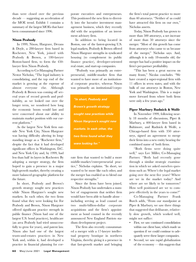than were closed over the previous decade — suggesting an acceleration of the MOE trend. Exhibit 1 contains a summary of the largest MOEs that have been consummated since 1996.

#### **Nixon Peabody**

In 1999, Nixon, Hargrave, Devans & Doyle, a 280-lawyer firm based in Rochester, New York, joined with Peabody & Brown, a 180-lawyer Boston-based firm, to form the 450 lawyer firm Nixon Peabody.

According to Co-Managing Partner Nestor Nicholas, "The legal industry is consolidating, and the top end of the market is growing at the expense of almost everyone else. Although Peabody & Brown was coming off several years of record growth and profitability, as we looked out over the longer term, we wondered how long the economic boom would last and were concerned about our ability to maintain market position with our current platform."

As the largest New York firm outside New York City, Nixon Hargrave was having difficulty altering its longstanding image as a "Rochester firm," despite the fact that it had developed significant offices in Washington, D.C. and New York City and, by 1999, had less than half its layers in Rochester. By adopting a merger strategy, the firm hoped to gain a presence in a major high-growth market, thereby creating a more balanced geographic platform for the future.

In short, Peabody and Brown's growth strategy sought new practices while Nixon Hargrave's sought new markets. In each other, the two firms found what they were looking for. For Peabody and Brown, Nixon Hargrave offered significant practice strength in public finance (Nixon had one of the largest U.S. bond practices), healthcare (an area Peabody had tried unsuccessfully to grow for years), and patent law. Nixon also had one of the largest trusts-and-estates practices in New York and, within it, had developed a practice in financial planning for corporate executives and entrepreneurs. This positioned the new firm to diversify into the lucrative investment management business, which they recently did with the acquisition of an investment advisory firm.

In addition to being located in Boston, one of the fastest-growing U.S. legal markets, Peabody & Brown offered Nixon Hargrave strengths in syndicated housing (to complement its public finance practice), developer-oriented real estate, and start-up companies.

"Peabody was primarily an entrepreneurial, middle-market firm that wanted to have more of an institutional corporate practice, whereas Nixon was primarily an institutional/corpo-

*"In short, Peabody and Brown's growth strategy sought new practices while Nixon Hargrave's sought new markets. In each other, the two firms found what they were looking for."*

rate firm that wanted to build a more middle-market/entrepreneurial practice," Nicholas explains. "In short, we wanted to be more like each other, and the merger has enabled us to blend our respective strengths."

Since the firms have been joined, Nixon Peabody has undertaken a number of engagements that neither firm would have been able to handle alone – including serving as lead counsel on two multi-billion-dollar corporate acquisitions and the firm's appointment as bond counsel in the recently announced New England Patriots stadium development project.

The firm also recently consummated a merger with a 17-lawyer intellectual property boutique in northern Virginia, thereby giving it a presence in that fast-growth market and bringing

the firm's total patent practice to more than 40 attorneys. "Neither of us could have attracted this firm on our own," Nicholas asserts.

Today, Nixon Peabody has grown to more than 500 attorneys, a net increase of more than 50 attorneys since the merger. "Most of this growth has come from attorneys who came to us because of the merger," Nicholas says. And, although it is only 18-months old, the merger has had a positive impact on the firm's per-partner profitability.

"This has been a great success on many fronts," Nicolas concludes. "We have created a super-regional firm with 11 offices in seven states, and with the bulk of our attorneys in Boston, New York and Washington. This is a major move forward from where both firms were only a few years ago."

#### **Piper Marbury Rudnick & Wolfe**

In November 1999, following nearly 18 months of discussions, Piper & Marbury, a 400-lawyer firm based in Baltimore, and Rudnick & Wolfe, a Chicago-based firm with 350 attorneys, signed an agreement to merge their firms into a new entity bearing the combined name of both firms.

"Both firms were doing quite well," says Lee Miller, Co-Managing Partner. "Both had recently gone through a similar strategic examination in which we asked ourselves questions such as: Where's the legal market going over the next five years? Where are we in the market today? And where are we likely to be tomorrow? How well positioned are we to compete effectively in the years to come?"

Co-Managing Partner Frank Burch adds, "From our standpoint at Piper & Marbury, we saw three things that suggested that delibarate, relatively slow growth, which worked well, might not suffice:

- First, we saw continued consolidation within our client base, which made us question if we could continue to adequately serve these larger companies.
- Second, we saw rapid globalization of the economy — this suggests that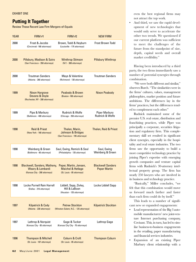# **Putting It Together**

Review These Recent Law Firm Mergers-of-Equals

| <b>YEAR</b> | FIRM $#1$                                                                                | FIRM $#2$                                                                            | <b>NEW FIRM</b>                                 |
|-------------|------------------------------------------------------------------------------------------|--------------------------------------------------------------------------------------|-------------------------------------------------|
| 2000        | Frost & Jacobs<br>(Cincinnati -180 attorneys)                                            | Brown, Todd & Heyburn<br>(Louisville - 175 attorneys)                                | <b>Frost Brown Todd</b>                         |
| 2000        | Pillsbury, Madison & Sutro<br>(San Francisco - 350 attorneys)                            | <b>Winthrop Stimson</b><br>(N.Y. - 300 attorneys)                                    | <b>Pillsbury Winthrop</b>                       |
| 2000        | <b>Troutman Sanders</b><br>(Atlanta - 260 attorneys)                                     | Mays & Valentine<br>(Richmond - 130 attorneys)                                       | <b>Troutman Sanders</b>                         |
| 1999        | <b>Nixon Hargrave</b><br><b>Devans &amp; Doyle</b><br>(Rochester, NY - 280 attorneys)    | Peabody & Brown<br>(Boston -180 attorneys)                                           | <b>Nixon Peabody</b>                            |
| 1999        | Pipe & Marbury<br>(Baltimore - 400 attorneys)                                            | Rudnick & Wolfe<br>(Chicago - 350 attorneys)                                         | <b>Piper Marbury</b><br>Rudnick & Wolfe         |
| 1998        | <b>Reid &amp; Priest</b><br>(New York - 160 attorneys)                                   | Thelen, Marin,<br><b>Johnson &amp; Bridges</b><br>(San Francisco - 195 attorneys)    | <b>Thelen, Reid &amp; Priest</b>                |
| 1998        | Weinberg & Green<br>(Baltimore - 60 attorneys)                                           | Saul, Ewing, Remick & Saul<br>(Philadelphia - 135 attorneys)                         | Saul, Ewing<br>Weinberg & Green                 |
| 1998        | <b>Blackwell, Sanders, Matheny,</b><br>Weary & Lombardi<br>(Kansas City - 200 attorneys) | Peper, Martin, Jensen,<br><b>Maichel &amp; Hetlage</b><br>(St. Louis - 85 attorneys) | <b>Blackwell Sanders</b><br><b>Peper Martin</b> |
| 1998        | Locke Purnell Rain Harrell<br>(Dallas - 216 attorneys)                                   | Liddell, Sapp, Zivley,<br>Hill & LaBoon<br>(Houston - 135 attorneys)                 | Locke Liddell Sapp                              |
| 1997        | Kilpatrick & Cody<br>(Atlanta - 230 attorneys)                                           | <b>Petree Stockton</b><br>(Winston-Salem, N.C. - 125 attorneys)                      | <b>Kilpatrick Stockton</b>                      |
| 1997        | Lathrop & Norquist<br>(Kansas City - 85 attorneys)                                       | Gage & Tucker<br>(Kansas City City - 70 attorneys)                                   | Lathrop Gage                                    |
| 1996        | <b>Thompson &amp; Mitchell</b><br>(St. Louis - 187 attorneys)                            | <b>Coburn &amp; Croft</b><br>(St. Louis - 85 attorneys)                              | <b>Thompson Coburn</b>                          |

• And third, we saw the rapid development of new technologies that would only serve to accelerate the other two trends. We questioned if our current platform was sufficient to meet the challenges of the future from the standpoint of size, depth, capital needs and overall market credibility."

Having been introduced by a third party, the two firms immediately saw a number of potential synergies through combination.

"We were both different and similar," observes Burch. "The similarities were in the firms' cultures, values, management philosophies, market position and future ambitions. The differences lay in the firms' practices, but the differences tended to complement each other."

Rudnick maintained some of the premier U.S. real estate, distribution and franchising practices, while Piper was principally a corporate, securities litigation and regulatory firm. This complementary skill set resulted in significant client synergies, especially in the hospitality and real estate industries. The two firms saw the opportunity to build a more competitive technology practice by joining Piper's expertise with emerging growth companies and venture capital firms with Rudnick's 30-attorney intellectual property group. The firm has nearly 250 lawyers who are involved in its business and technology practice.

"Basically," Miller concludes, "we felt that this combination would move us forward much farther and faster than each firm could do by itself."

This leads to a number of significant new or expanded engagements:

- Lead representation of the Big 3 automobile manufacturers' new joint-venture Internet purchasing company, Covisant. This, in turn, has led to similar business-to-business engagements in the retailing, paper manufacturing and financial services industries.
- Expansion of an existing Piper Marbury client relationship with a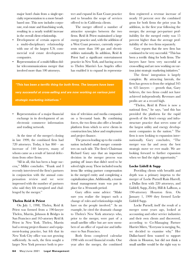major hotel chain from a single-specialty representation to a more broadbased one. This now includes corporate, real estate and franchising work, resulting in a nearly tenfold increase in the overall client relationship.

- Development of certain aspects of a multi-disciplinary relationship with one of the largest U.S. commercial real estate development companies.
- Representation of a multi-billion dollar telecommunications merger that involved more than 100 attorneys.

tect and expand its East Coast practice and to broaden the scope of services offered to its California clients.

The merger offered a number of attractive synergies between the two firms. Reid & Priest maintained a large energy practice and, with the addition of a West Coast presence, currently represents more than 100 gas and electric utilities nationally. In addition, Reid & Priest had a significant entertainment practice in New York, and having access to Thelen Marrin's Los Angeles office has enabled it to expand its representa-

*"This has been a terrific thing for both firms. The lawyers have been*

*very successful at cross-selling and are now working on various joint*

*strategic marketing initiatives."* 

• Representation of a major financial exchange in its development of an electronic commerce information and trading network.

At the time of the merger's closing in late 1999, the combined firm had 720 attorneys. Today, it has 860 – an increase of 140 lawyers, many of whom came as a result of lateral defections from other firms.

"All in all, this has been a huge success," Miller concludes. "Frank and I recently interviewed the firm's partners in conjunction with the annual compensation review and we were impressed with the number of partners who said they felt energized and challenged by the merger."

#### **Thelen Reid & Priest**

On July 1, 1998, Thelen, Reid & Priest was formed from a 190-lawyer Thelen, Marrin, Johnson & Bridges in San Francisco and 165-atorney Reid & Priest in New York. Thelen, Marrin had a strong project-finance and equipment-leasing practice, but felt that its New York City office was not growing sufficiently. As such, the firm sought a larger New York presence both to protion of television and media companies on a bi-coastal basis. By combining forces, the two firms also offer a broader platform from which to serve clients in construction law, labor and employment and project finance.

The process leading up to the combination included small merger committees on each side. The firm's Chairman Richard Gary says that an important decision in the merger process was putting off issues that didn't need to be solved right away. These included touchy items like setting partner compensation in the merged entity and completing a capitalization plan. Additionally, a transitional management team was put in place for a 30-month period.

Gary offers some advice: "Make sure you realize the impact such a change of roles and relationships might have on the people involved." As an example, he cited the dramatic change to Thelen's New York attorneys who, prior to the merger, were part of a small satellite office but are now members of an office of equal size and influence to San Francisco.

Both firms completed calendar 1998 with record financial results. One year after the merger, the combined firm registered a revenue increase of nearly 10 percent over the combined gross for both firms the prior year. In addition, in the first year following the merger, the average per-partner profitability for the merged entity was 15 percent higher than the average profitability of the two firms separately.

Gary reports that the new firm has continued to be very successful. "This has been a terrific thing for both firms. The lawyers have been very successful at cross-selling and are now working on various joint strategic marketing initiatives."

The firms' integration is largely complete. By attracting laterals, the firm has grown to from the original 345 to  $425$  lawyers — growth that, Gary believes, the two firms could not have achieved independently. Revenues and profits are at a record high.

"Thelen, Reid & Priest is now a national firm," he says, "and this has provided the platform for the rapid growth of the firm's energy and infrastructure practice that serves some of the largest utility and energy development companies in the nation." The firm is now looking to expansion internationally. Gary concludes, "The merger was far and away the best strategic move we ever made. We are looking forward to further expansion when we find the right opportunity."

#### **Locke Lidell & Sapp**

Providing clients with breadth and depth was a primary impetus to the merger of Locke Purnell Rain Harrell, a Dallas firm with 220 attorneys, and Liddell, Sapp, Zivley, Hill & LaBoon, a 190-attorney Houston firm. On January 1, 1999 they formed Locke Liddell Sapp.

Locke Purnell, itself the result of a merger some years ago, looked at accounting and other service industries and their own clients and discovered, according to Co-Managing Partner Harriet Miers, "Everyone is merging. So, we decided to examine why." Her Dallas-based firm wanted to support clients in Houston, but did not think a small satellite would be the right way to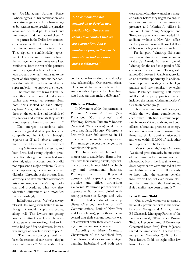go. Co-Managing Partner Bruce LaBoon agrees, "This combination was not cost-savings driven, like a bank merger, but was meant to provide the practice areas and bench depth to attract and hold national and international clients."

A partner in the Dallas firm contacted someone at the Houston firm. The two firms' managing partners met. They signed a confidentiality agreement. The ensuing meetings between the management committees were kept confidential from the rest of the partners until they signed a letter of intent. It took two and one-half months up to the point of this signing, and another twomonths until the partners voted  $-$  by super majority – to approve the merger.

The more the two firms talked, the more they realized how culturally compatible they were. "As partners from both firms looked at each other," explains Miers, "they concluded that those on the other side had the kinds of reputations and credentials they would want lawyers to have in their own firm."

The merger discussions also revealed a great deal of practice area compatibility. The Dallas firm brought expertise in IP and labor & employment, the Houston firm provided banking & finance and real estate, and both firms had strong litigation practices. Even though both firms had sizeable litigation practices, conflicts did not represent a major problem: Clients ended up waiving the few conflicts that did arise. Throughout the process, firm attorneys and staff members developed lists comparing each firm's major policies and procedures. This way, they identified differences and modified them accordingly.

In LaBoon's words, "We've been very pleased. It's going even better than we thought it would. People are getting along well. The lawyers are getting together to attract new clients. The combined systems are working. And so far we've had good financial results. It was a true merger of equals in every respect."

"The most encouraging result has been the reaction of our clients - they're very enthusiastic," Miers adds. "The

*"The combination has enabled us to develop new relationships. Our current clients take comfort that we are a larger firm. And a number of prospective clients have stated that size does make a difference."*

combination has enabled us to develop new relationships. Our current clients take comfort that we are a larger firm. And a number of prospective clients have stated that size does make a difference."

#### **Pillsbury Winthrop**

In November 2000, the partners of Pillsbury Madison & Sutro (San Francisco, 550 attorneys) and Winthrop, Stimson, Putnam & Roberts (New York, 265 attorneys) voted to create a new firm, Pillsbury Winthrop, a firm with over 800 attorneys in 14 offices and no single headquarters. Firm managers expect the merger to be completed this year.

The basic rationale behind the merger was to enable both firms to better serve their existing clients, especially in corporate finance, M&A, technology and international business. Pillsbury's practice was 80 percent domestic, with a growing technology practice and offices throughout California. Winthrop's practice was the opposite – 60 percent global with strong presence in Europe and Asia. Both firms had a stable of blue-chip clients (Chevron, BankAmerica, SBC Communications, Bank of New York and Deutschbank), yet both were concerned that their current footprint was not consistent with their client's evolving domestic and overseas needs.

According to Mary Cranston, Chairwoman of the combined firm, "Both firms had done extensive strategic planning beforehand and both were

clear about what they wanted in a merger partner before they began looking. In our case, we needed an international presence and Winthrop's offices in London, Hong Kong, Singapore and Tokyo were exactly what we needed." In addition, without a New York office, Pillsbury was referring millions of dollars of business each year to other law firms.

For its part, Winthrop Stimson's needs were almost the mirror image of Pillsbury's. Already 60 percent global, Winthop felt the need to expand its U.S. corporate practice – and Pillsbury, with almost 400 lawyers in California, provided an attractive opportunity. In addition, Winthrop was building a technology practice and saw significant synergies from Pillsbury's thriving 130-lawyer intellectual property practice, which included the former Cushman, Darby & Cushman patent group.

There were numerous other ways in which the two firms complemented each other. Both had a strong corporate finance/M&A capability, and both offered substantial practices in energy, telecommunications and banking. The firms had similar administrative staffs and were within \$15,000 of each other in per-partner profitability.

"Most importantly," says Cranston, "we found great similarity in our vision of the future and in our management philosophy. From the first time we sat down together, we were amazed at how much alike we were. It is still too early to know what the concrete benefits from this will be, but even before closing the transaction the low-hanging fruit benefits have been dramatic."

#### **Frost Brown Todd**

"Our strategic vision was to create a nationally prominent firm in the region between Chicago and Atlanta," states Ed Glasscock, Managing Partner of the Louisville-based, 205-attorney, Brown, Todd & Heyburn. "And [195-attorney Cincinnati-based firm] Frost & Jacobs shared the same vision." The two firms merged in November 2000 to form Frost Brown Todd, an eight-office law firm in four states.